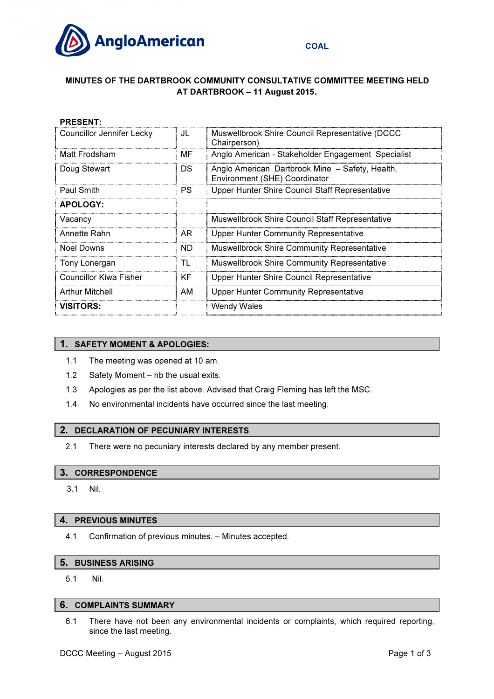

# MINUTES OF THE DARTBROOK COMMUNITY CONSULTATIVE COMMITTEE MEETING HELD AT DARTBROOK – 11 August 2015.

| <b>PRESENT:</b>                  |           |                                                                                  |
|----------------------------------|-----------|----------------------------------------------------------------------------------|
| <b>Councillor Jennifer Lecky</b> | JL        | Muswellbrook Shire Council Representative (DCCC)<br>Chairperson)                 |
| Matt Frodsham                    | МF        | Anglo American - Stakeholder Engagement Specialist                               |
| Doug Stewart                     | DS.       | Anglo American Dartbrook Mine - Safety, Health,<br>Environment (SHE) Coordinator |
| Paul Smith                       | <b>PS</b> | Upper Hunter Shire Council Staff Representative                                  |
| <b>APOLOGY:</b>                  |           |                                                                                  |
| Vacancy                          |           | <b>Muswellbrook Shire Council Staff Representative</b>                           |
| Annette Rahn                     | AR.       | <b>Upper Hunter Community Representative</b>                                     |
| Noel Downs                       | ND.       | <b>Muswellbrook Shire Community Representative</b>                               |
| Tony Lonergan                    | TL        | <b>Muswellbrook Shire Community Representative</b>                               |
| Councillor Kiwa Fisher           | KF        | Upper Hunter Shire Council Representative                                        |
| <b>Arthur Mitchell</b>           | AM        | <b>Upper Hunter Community Representative</b>                                     |
| <b>VISITORS:</b>                 |           | <b>Wendy Wales</b>                                                               |
|                                  |           |                                                                                  |

## 1. SAFETY MOMENT & APOLOGIES:

- 1.1 The meeting was opened at 10 am.
- 1.2 Safety Moment nb the usual exits.
- 1.3 Apologies as per the list above. Advised that Craig Fleming has left the MSC.
- 1.4 No environmental incidents have occurred since the last meeting.

## 2. DECLARATION OF PECUNIARY INTERESTS

2.1 There were no pecuniary interests declared by any member present.

#### 3. CORRESPONDENCE

3.1 Nil.

#### 4. PREVIOUS MINUTES

4.1 Confirmation of previous minutes. – Minutes accepted.

#### 5. BUSINESS ARISING

5.1 Nil.

# 6. COMPLAINTS SUMMARY

6.1 There have not been any environmental incidents or complaints, which required reporting, since the last meeting.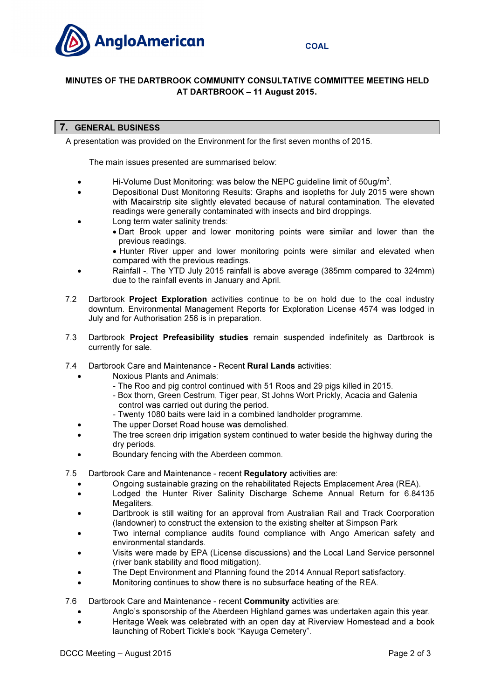

# MINUTES OF THE DARTBROOK COMMUNITY CONSULTATIVE COMMITTEE MEETING HELD AT DARTBROOK – 11 August 2015.

## 7. GENERAL BUSINESS

A presentation was provided on the Environment for the first seven months of 2015.

The main issues presented are summarised below:

- $\bullet$  Hi-Volume Dust Monitoring: was below the NEPC guideline limit of 50ug/m<sup>3</sup>.
- Depositional Dust Monitoring Results: Graphs and isopleths for July 2015 were shown with Macairstrip site slightly elevated because of natural contamination. The elevated readings were generally contaminated with insects and bird droppings.
- Long term water salinity trends:
	- Dart Brook upper and lower monitoring points were similar and lower than the previous readings.
	- Hunter River upper and lower monitoring points were similar and elevated when compared with the previous readings.
- Rainfall -. The YTD July 2015 rainfall is above average (385mm compared to 324mm) due to the rainfall events in January and April.
- 7.2 Dartbrook Project Exploration activities continue to be on hold due to the coal industry downturn. Environmental Management Reports for Exploration License 4574 was lodged in July and for Authorisation 256 is in preparation.
- 7.3 Dartbrook Project Prefeasibility studies remain suspended indefinitely as Dartbrook is currently for sale.
- 7.4 Dartbrook Care and Maintenance Recent **Rural Lands** activities:
	- Noxious Plants and Animals:
		- The Roo and pig control continued with 51 Roos and 29 pigs killed in 2015.
		- Box thorn, Green Cestrum, Tiger pear, St Johns Wort Prickly, Acacia and Galenia control was carried out during the period.
		- Twenty 1080 baits were laid in a combined landholder programme.
		- The upper Dorset Road house was demolished.
	- The tree screen drip irrigation system continued to water beside the highway during the dry periods.
	- Boundary fencing with the Aberdeen common.
- 7.5 Dartbrook Care and Maintenance recent Regulatory activities are:
	- Ongoing sustainable grazing on the rehabilitated Rejects Emplacement Area (REA).
	- Lodged the Hunter River Salinity Discharge Scheme Annual Return for 6.84135 Megaliters.
	- Dartbrook is still waiting for an approval from Australian Rail and Track Coorporation (landowner) to construct the extension to the existing shelter at Simpson Park
	- Two internal compliance audits found compliance with Ango American safety and environmental standards.
	- Visits were made by EPA (License discussions) and the Local Land Service personnel (river bank stability and flood mitigation).
	- The Dept Environment and Planning found the 2014 Annual Report satisfactory.
	- Monitoring continues to show there is no subsurface heating of the REA.

7.6 Dartbrook Care and Maintenance - recent **Community** activities are:

- Anglo's sponsorship of the Aberdeen Highland games was undertaken again this year.
- Heritage Week was celebrated with an open day at Riverview Homestead and a book launching of Robert Tickle's book "Kayuga Cemetery".